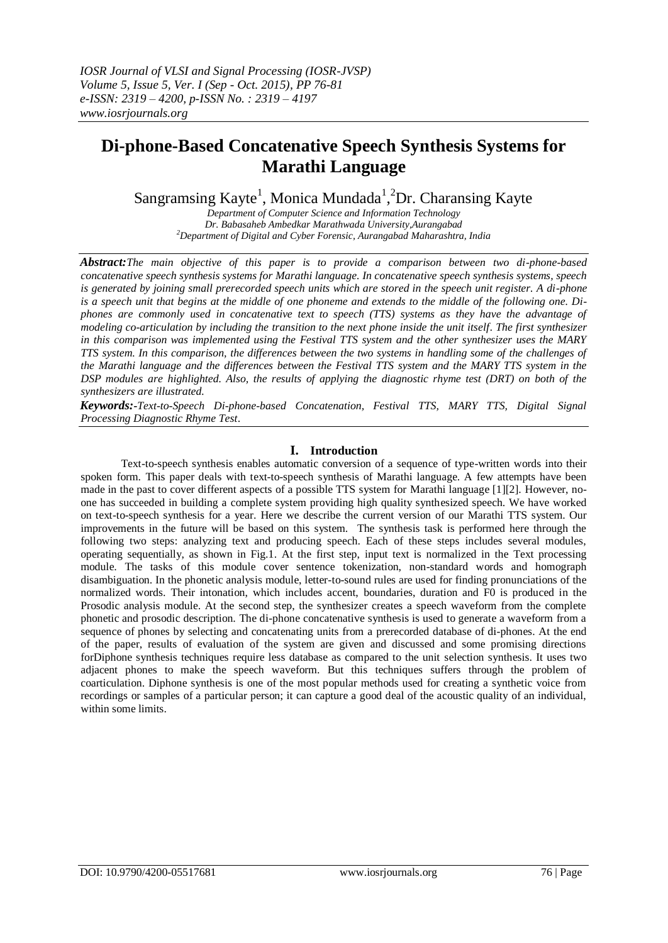# **Di-phone-Based Concatenative Speech Synthesis Systems for Marathi Language**

Sangramsing Kayte<sup>1</sup>, Monica Mundada<sup>1</sup>,<sup>2</sup>Dr. Charansing Kayte

*Department of Computer Science and Information Technology Dr. Babasaheb Ambedkar Marathwada University,Aurangabad <sup>2</sup>Department of Digital and Cyber Forensic, Aurangabad Maharashtra, India*

*Abstract:The main objective of this paper is to provide a comparison between two di-phone-based concatenative speech synthesis systems for Marathi language. In concatenative speech synthesis systems, speech is generated by joining small prerecorded speech units which are stored in the speech unit register. A di-phone is a speech unit that begins at the middle of one phoneme and extends to the middle of the following one. Diphones are commonly used in concatenative text to speech (TTS) systems as they have the advantage of modeling co-articulation by including the transition to the next phone inside the unit itself. The first synthesizer in this comparison was implemented using the Festival TTS system and the other synthesizer uses the MARY TTS system. In this comparison, the differences between the two systems in handling some of the challenges of the Marathi language and the differences between the Festival TTS system and the MARY TTS system in the DSP modules are highlighted. Also, the results of applying the diagnostic rhyme test (DRT) on both of the synthesizers are illustrated.* 

*Keywords:-Text-to-Speech Di-phone-based Concatenation, Festival TTS, MARY TTS, Digital Signal Processing Diagnostic Rhyme Test*.

## **I. Introduction**

Text-to-speech synthesis enables automatic conversion of a sequence of type-written words into their spoken form. This paper deals with text-to-speech synthesis of Marathi language. A few attempts have been made in the past to cover different aspects of a possible TTS system for Marathi language [1][2]. However, noone has succeeded in building a complete system providing high quality synthesized speech. We have worked on text-to-speech synthesis for a year. Here we describe the current version of our Marathi TTS system. Our improvements in the future will be based on this system. The synthesis task is performed here through the following two steps: analyzing text and producing speech. Each of these steps includes several modules, operating sequentially, as shown in Fig.1. At the first step, input text is normalized in the Text processing module. The tasks of this module cover sentence tokenization, non-standard words and homograph disambiguation. In the phonetic analysis module, letter-to-sound rules are used for finding pronunciations of the normalized words. Their intonation, which includes accent, boundaries, duration and F0 is produced in the Prosodic analysis module. At the second step, the synthesizer creates a speech waveform from the complete phonetic and prosodic description. The di-phone concatenative synthesis is used to generate a waveform from a sequence of phones by selecting and concatenating units from a prerecorded database of di-phones. At the end of the paper, results of evaluation of the system are given and discussed and some promising directions forDiphone synthesis techniques require less database as compared to the unit selection synthesis. It uses two adjacent phones to make the speech waveform. But this techniques suffers through the problem of coarticulation. Diphone synthesis is one of the most popular methods used for creating a synthetic voice from recordings or samples of a particular person; it can capture a good deal of the acoustic quality of an individual, within some limits.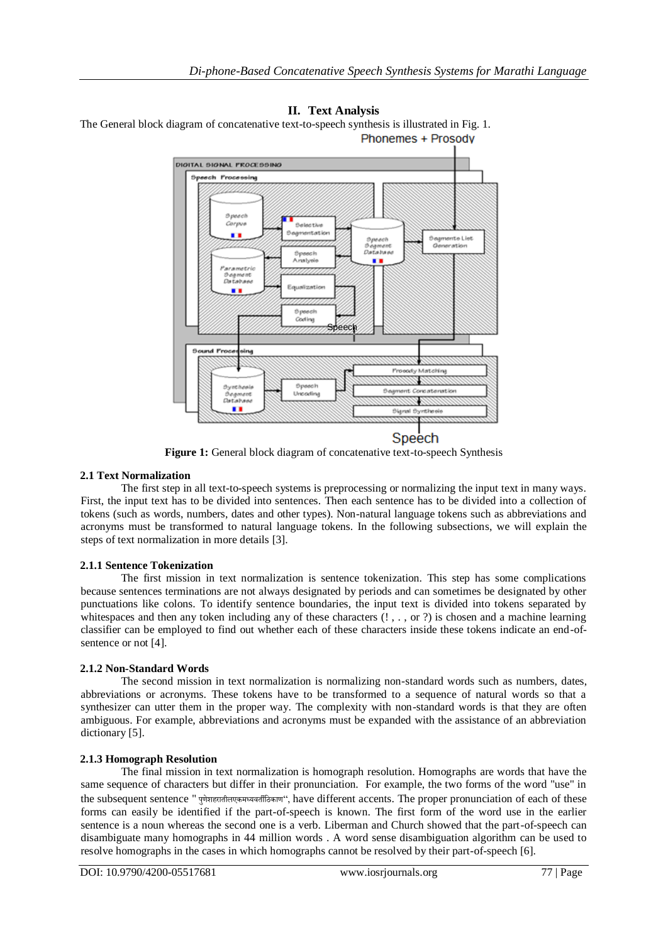



**Figure 1:** General block diagram of concatenative text-to-speech Synthesis

# **2.1 Text Normalization**

The first step in all text-to-speech systems is preprocessing or normalizing the input text in many ways. First, the input text has to be divided into sentences. Then each sentence has to be divided into a collection of tokens (such as words, numbers, dates and other types). Non-natural language tokens such as abbreviations and acronyms must be transformed to natural language tokens. In the following subsections, we will explain the steps of text normalization in more details [3].

## **2.1.1 Sentence Tokenization**

The first mission in text normalization is sentence tokenization. This step has some complications because sentences terminations are not always designated by periods and can sometimes be designated by other punctuations like colons. To identify sentence boundaries, the input text is divided into tokens separated by whitespaces and then any token including any of these characters  $(!, . , \text{or } ?)$  is chosen and a machine learning classifier can be employed to find out whether each of these characters inside these tokens indicate an end-ofsentence or not [4].

# **2.1.2 Non-Standard Words**

The second mission in text normalization is normalizing non-standard words such as numbers, dates, abbreviations or acronyms. These tokens have to be transformed to a sequence of natural words so that a synthesizer can utter them in the proper way. The complexity with non-standard words is that they are often ambiguous. For example, abbreviations and acronyms must be expanded with the assistance of an abbreviation dictionary [5].

## **2.1.3 Homograph Resolution**

The final mission in text normalization is homograph resolution. Homographs are words that have the same sequence of characters but differ in their pronunciation. For example, the two forms of the word "use" in the subsequent sentence " पणुेशहरातीलएकमध्यवतीठिकाण", have different accents. The proper pronunciation of each of these forms can easily be identified if the part-of-speech is known. The first form of the word use in the earlier sentence is a noun whereas the second one is a verb. Liberman and Church showed that the part-of-speech can disambiguate many homographs in 44 million words . A word sense disambiguation algorithm can be used to resolve homographs in the cases in which homographs cannot be resolved by their part-of-speech [6].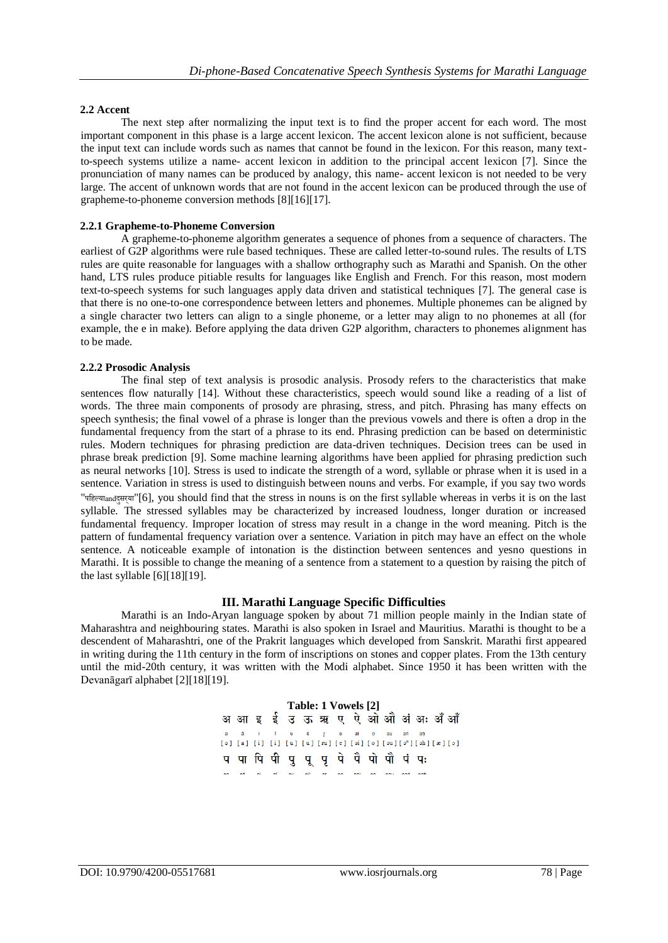## **2.2 Accent**

The next step after normalizing the input text is to find the proper accent for each word. The most important component in this phase is a large accent lexicon. The accent lexicon alone is not sufficient, because the input text can include words such as names that cannot be found in the lexicon. For this reason, many textto-speech systems utilize a name- accent lexicon in addition to the principal accent lexicon [7]. Since the pronunciation of many names can be produced by analogy, this name- accent lexicon is not needed to be very large. The accent of unknown words that are not found in the accent lexicon can be produced through the use of grapheme-to-phoneme conversion methods [8][16][17].

## **2.2.1 Grapheme-to-Phoneme Conversion**

A grapheme-to-phoneme algorithm generates a sequence of phones from a sequence of characters. The earliest of G2P algorithms were rule based techniques. These are called letter-to-sound rules. The results of LTS rules are quite reasonable for languages with a shallow orthography such as Marathi and Spanish. On the other hand, LTS rules produce pitiable results for languages like English and French. For this reason, most modern text-to-speech systems for such languages apply data driven and statistical techniques [7]. The general case is that there is no one-to-one correspondence between letters and phonemes. Multiple phonemes can be aligned by a single character two letters can align to a single phoneme, or a letter may align to no phonemes at all (for example, the e in make). Before applying the data driven G2P algorithm, characters to phonemes alignment has to be made.

### **2.2.2 Prosodic Analysis**

The final step of text analysis is prosodic analysis. Prosody refers to the characteristics that make sentences flow naturally [14]. Without these characteristics, speech would sound like a reading of a list of words. The three main components of prosody are phrasing, stress, and pitch. Phrasing has many effects on speech synthesis; the final vowel of a phrase is longer than the previous vowels and there is often a drop in the fundamental frequency from the start of a phrase to its end. Phrasing prediction can be based on deterministic rules. Modern techniques for phrasing prediction are data-driven techniques. Decision trees can be used in phrase break prediction [9]. Some machine learning algorithms have been applied for phrasing prediction such as neural networks [10]. Stress is used to indicate the strength of a word, syllable or phrase when it is used in a sentence. Variation in stress is used to distinguish between nouns and verbs. For example, if you say two words "पठहल्याandदसुरय्ा"[6], you should find that the stress in nouns is on the first syllable whereas in verbs it is on the last syllable. The stressed syllables may be characterized by increased loudness, longer duration or increased fundamental frequency. Improper location of stress may result in a change in the word meaning. Pitch is the pattern of fundamental frequency variation over a sentence. Variation in pitch may have an effect on the whole sentence. A noticeable example of intonation is the distinction between sentences and yesno questions in Marathi. It is possible to change the meaning of a sentence from a statement to a question by raising the pitch of the last syllable [6][18][19].

## **III. Marathi Language Specific Difficulties**

Marathi is an Indo-Aryan language spoken by about 71 million people mainly in the Indian state of Maharashtra and neighbouring states. Marathi is also spoken in Israel and Mauritius. Marathi is thought to be a descendent of Maharashtri, one of the Prakrit languages which developed from [Sanskrit.](http://www.omniglot.com/writing/sanskrit.htm) Marathi first appeared in writing during the 11th century in the form of inscriptions on stones and copper plates. From the 13th century until the mid-20th century, it was written with the [Modi alphabet.](http://www.omniglot.com/writing/modi.htm) Since 1950 it has been written with the Devanāgarī alphabet [2][18][19].

> **Table: 1 Vowels [2]**.<br>1 a i īu ū ŗe aio au an'an  $[\,\circ\,]\;\;[\,\circ\,]\;\;[\,\circ\,]\;\;[\,\circ\,]\;\;[\,\,u\,]\;\;[\,\,u\,]\;\;[\,\,v\,]\;\;[\,\,e\,]\;\;[\,\,o\,]\;\;[\,\,s\,]\;\;[\,\,o\,]\;\;[\,\,s\,]\;\;[\,\,b\,]\;\;[\,\,x\,]\;\;[\,\,c\,]\;\;$ प पा पि पी पुषूपूपे पै पो पौ पं पः na nã ní nĩ nu nữ nr na nai no nau nañ nah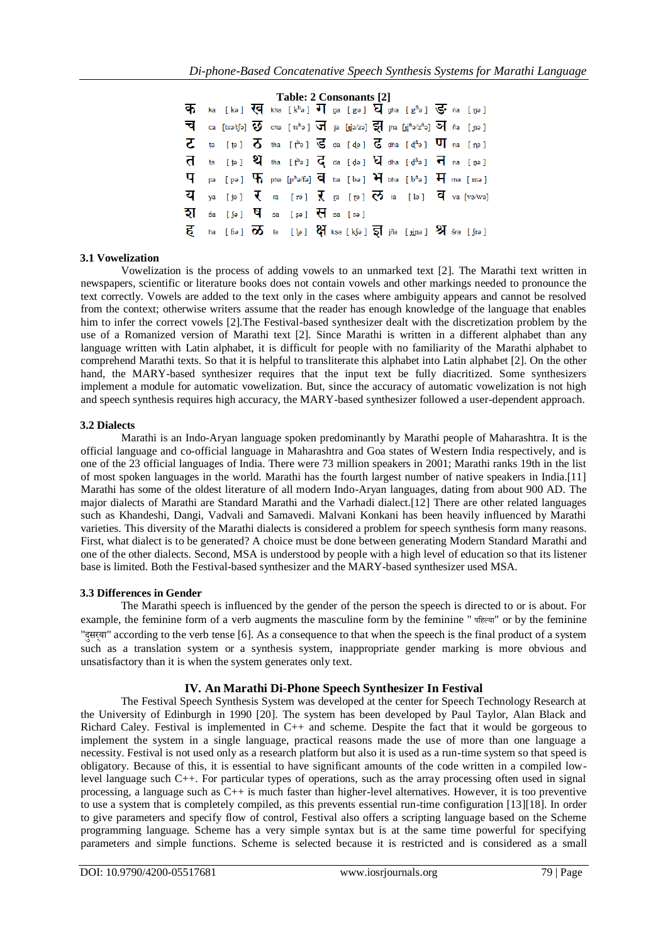| Table: 2 Consonants [2] |  |                                                                       |  |  |  |  |  |  |                                                                                                                                                                                         |  |  |
|-------------------------|--|-----------------------------------------------------------------------|--|--|--|--|--|--|-----------------------------------------------------------------------------------------------------------------------------------------------------------------------------------------|--|--|
|                         |  |                                                                       |  |  |  |  |  |  | $\overline{\Phi}$ ka [kə] $\overline{\mathbb{Q}}$ kha [k <sup>h</sup> ə] $\overline{\mathbb{U}}$ ga [gə] $\overline{\mathbb{Q}}$ gha [g <sup>h</sup> ə] $\overline{\mathbb{Q}}$ na [ŋə] |  |  |
|                         |  |                                                                       |  |  |  |  |  |  | 코 ca [tsə/tʃə] $\overline{v}$ cha [tsʰə] $\overline{v}$ ja [tjə/zə] 륈 jha [tj͡ʰə/zʰə] 허 ña [j]ə]                                                                                        |  |  |
|                         |  |                                                                       |  |  |  |  |  |  | $\zeta$ ta [te] $\zeta$ tha [te] $\zeta$ da [de] $\zeta$ dha [de] $\eta$ na [ne]                                                                                                        |  |  |
|                         |  |                                                                       |  |  |  |  |  |  | $\overline{d}$ ta [t̪ə] $\overline{v}$ tha [t̪ʰə] $\overline{d}$ da [d̪ə] $\overline{v}$ dha [d̪ʰə] $\overline{v}$ na [n̪ə]                                                             |  |  |
|                         |  |                                                                       |  |  |  |  |  |  | $\Psi$ pa [pə] $\Pi$ pha [phə/fə] $\overline{q}$ ba [bə] $\overline{H}$ bha [bhə] $\overline{H}$ ma [mə]                                                                                |  |  |
|                         |  |                                                                       |  |  |  |  |  |  | $\overline{u}$ ya [jə] $\overline{v}$ ra [rə] $\overline{v}$ ra [rə] $\overline{v}$ la [lə] $\overline{u}$ va [və/wə]                                                                   |  |  |
|                         |  | $7\frac{1}{2!}$ sa [sə] $\frac{1}{2!}$ sa [sə] $\frac{1}{2!}$ sa [sə] |  |  |  |  |  |  |                                                                                                                                                                                         |  |  |
|                         |  |                                                                       |  |  |  |  |  |  | $\overline{5}$ ha [fiə] $\overline{6}$ la [l͡ə] $\overline{5}$ ] kṣa [k͡ʃə] $\overline{5}$ ] jña [jīnə] $\overline{5}$ ] śra [ʃrə]                                                      |  |  |

### **3.1 Vowelization**

Vowelization is the process of adding vowels to an unmarked text [2]. The Marathi text written in newspapers, scientific or literature books does not contain vowels and other markings needed to pronounce the text correctly. Vowels are added to the text only in the cases where ambiguity appears and cannot be resolved from the context; otherwise writers assume that the reader has enough knowledge of the language that enables him to infer the correct vowels [2].The Festival-based synthesizer dealt with the discretization problem by the use of a Romanized version of Marathi text [2]. Since Marathi is written in a different alphabet than any language written with Latin alphabet, it is difficult for people with no familiarity of the Marathi alphabet to comprehend Marathi texts. So that it is helpful to transliterate this alphabet into Latin alphabet [2]. On the other hand, the MARY-based synthesizer requires that the input text be fully diacritized. Some synthesizers implement a module for automatic vowelization. But, since the accuracy of automatic vowelization is not high and speech synthesis requires high accuracy, the MARY-based synthesizer followed a user-dependent approach.

### **3.2 Dialects**

Marathi is an Indo-Aryan language spoken predominantly by Marathi people of Maharashtra. It is the official language and co-official language in Maharashtra and Goa states of Western India respectively, and is one of the 23 official languages of India. There were 73 million speakers in 2001; Marathi ranks 19th in the list of most spoken languages in the world. Marathi has the fourth largest number of native speakers in India.[11] Marathi has some of the oldest literature of all modern Indo-Aryan languages, dating from about 900 AD. The major dialects of Marathi are Standard Marathi and the Varhadi dialect.[12] There are other related languages such as Khandeshi, Dangi, Vadvali and Samavedi. Malvani Konkani has been heavily influenced by Marathi varieties. This diversity of the Marathi dialects is considered a problem for speech synthesis form many reasons. First, what dialect is to be generated? A choice must be done between generating Modern Standard Marathi and one of the other dialects. Second, MSA is understood by people with a high level of education so that its listener base is limited. Both the Festival-based synthesizer and the MARY-based synthesizer used MSA.

### **3.3 Differences in Gender**

The Marathi speech is influenced by the gender of the person the speech is directed to or is about. For example, the feminine form of a verb augments the masculine form by the feminine " पठहल्या" or by the feminine "दसुरय्ा" according to the verb tense [6]. As a consequence to that when the speech is the final product of a system such as a translation system or a synthesis system, inappropriate gender marking is more obvious and unsatisfactory than it is when the system generates only text.

## **IV. An Marathi Di-Phone Speech Synthesizer In Festival**

The Festival Speech Synthesis System was developed at the center for Speech Technology Research at the University of Edinburgh in 1990 [20]. The system has been developed by Paul Taylor, Alan Black and Richard Caley. Festival is implemented in C++ and scheme. Despite the fact that it would be gorgeous to implement the system in a single language, practical reasons made the use of more than one language a necessity. Festival is not used only as a research platform but also it is used as a run-time system so that speed is obligatory. Because of this, it is essential to have significant amounts of the code written in a compiled lowlevel language such C++. For particular types of operations, such as the array processing often used in signal processing, a language such as C++ is much faster than higher-level alternatives. However, it is too preventive to use a system that is completely compiled, as this prevents essential run-time configuration [13][18]. In order to give parameters and specify flow of control, Festival also offers a scripting language based on the Scheme programming language. Scheme has a very simple syntax but is at the same time powerful for specifying parameters and simple functions. Scheme is selected because it is restricted and is considered as a small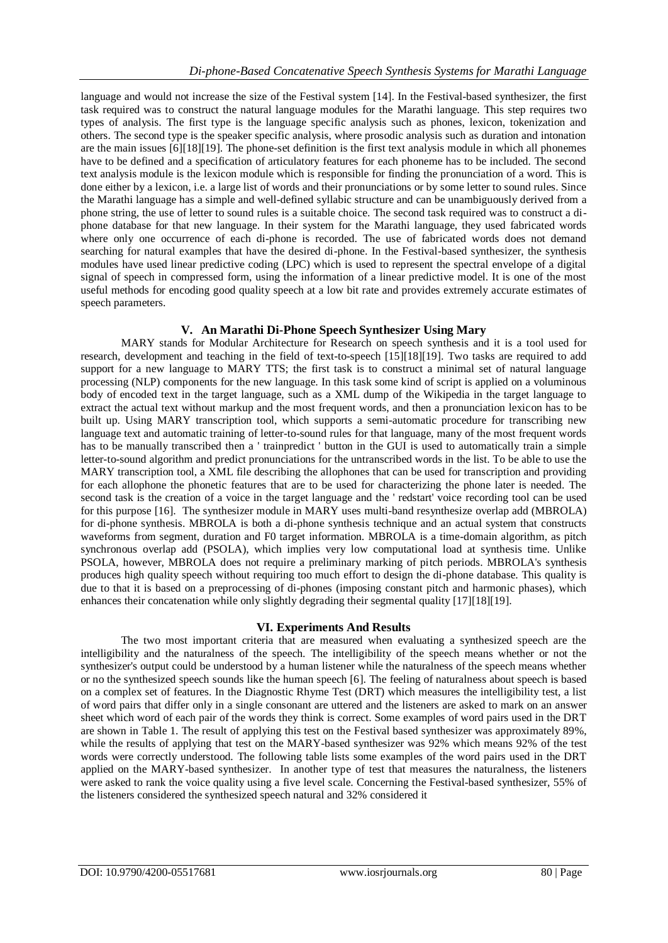language and would not increase the size of the Festival system [14]. In the Festival-based synthesizer, the first task required was to construct the natural language modules for the Marathi language. This step requires two types of analysis. The first type is the language specific analysis such as phones, lexicon, tokenization and others. The second type is the speaker specific analysis, where prosodic analysis such as duration and intonation are the main issues [6][18][19]. The phone-set definition is the first text analysis module in which all phonemes have to be defined and a specification of articulatory features for each phoneme has to be included. The second text analysis module is the lexicon module which is responsible for finding the pronunciation of a word. This is done either by a lexicon, i.e. a large list of words and their pronunciations or by some letter to sound rules. Since the Marathi language has a simple and well-defined syllabic structure and can be unambiguously derived from a phone string, the use of letter to sound rules is a suitable choice. The second task required was to construct a diphone database for that new language. In their system for the Marathi language, they used fabricated words where only one occurrence of each di-phone is recorded. The use of fabricated words does not demand searching for natural examples that have the desired di-phone. In the Festival-based synthesizer, the synthesis modules have used linear predictive coding (LPC) which is used to represent the spectral envelope of a digital signal of speech in compressed form, using the information of a linear predictive model. It is one of the most useful methods for encoding good quality speech at a low bit rate and provides extremely accurate estimates of speech parameters.

# **V. An Marathi Di-Phone Speech Synthesizer Using Mary**

MARY stands for Modular Architecture for Research on speech synthesis and it is a tool used for research, development and teaching in the field of text-to-speech [15][18][19]. Two tasks are required to add support for a new language to MARY TTS; the first task is to construct a minimal set of natural language processing (NLP) components for the new language. In this task some kind of script is applied on a voluminous body of encoded text in the target language, such as a XML dump of the Wikipedia in the target language to extract the actual text without markup and the most frequent words, and then a pronunciation lexicon has to be built up. Using MARY transcription tool, which supports a semi-automatic procedure for transcribing new language text and automatic training of letter-to-sound rules for that language, many of the most frequent words has to be manually transcribed then a ' trainpredict ' button in the GUI is used to automatically train a simple letter-to-sound algorithm and predict pronunciations for the untranscribed words in the list. To be able to use the MARY transcription tool, a XML file describing the allophones that can be used for transcription and providing for each allophone the phonetic features that are to be used for characterizing the phone later is needed. The second task is the creation of a voice in the target language and the ' redstart' voice recording tool can be used for this purpose [16]. The synthesizer module in MARY uses multi-band resynthesize overlap add (MBROLA) for di-phone synthesis. MBROLA is both a di-phone synthesis technique and an actual system that constructs waveforms from segment, duration and F0 target information. MBROLA is a time-domain algorithm, as pitch synchronous overlap add (PSOLA), which implies very low computational load at synthesis time. Unlike PSOLA, however, MBROLA does not require a preliminary marking of pitch periods. MBROLA's synthesis produces high quality speech without requiring too much effort to design the di-phone database. This quality is due to that it is based on a preprocessing of di-phones (imposing constant pitch and harmonic phases), which enhances their concatenation while only slightly degrading their segmental quality [17][18][19].

## **VI. Experiments And Results**

The two most important criteria that are measured when evaluating a synthesized speech are the intelligibility and the naturalness of the speech. The intelligibility of the speech means whether or not the synthesizer's output could be understood by a human listener while the naturalness of the speech means whether or no the synthesized speech sounds like the human speech [6]. The feeling of naturalness about speech is based on a complex set of features. In the Diagnostic Rhyme Test (DRT) which measures the intelligibility test, a list of word pairs that differ only in a single consonant are uttered and the listeners are asked to mark on an answer sheet which word of each pair of the words they think is correct. Some examples of word pairs used in the DRT are shown in Table 1. The result of applying this test on the Festival based synthesizer was approximately 89%, while the results of applying that test on the MARY-based synthesizer was 92% which means 92% of the test words were correctly understood. The following table lists some examples of the word pairs used in the DRT applied on the MARY-based synthesizer. In another type of test that measures the naturalness, the listeners were asked to rank the voice quality using a five level scale. Concerning the Festival-based synthesizer, 55% of the listeners considered the synthesized speech natural and 32% considered it